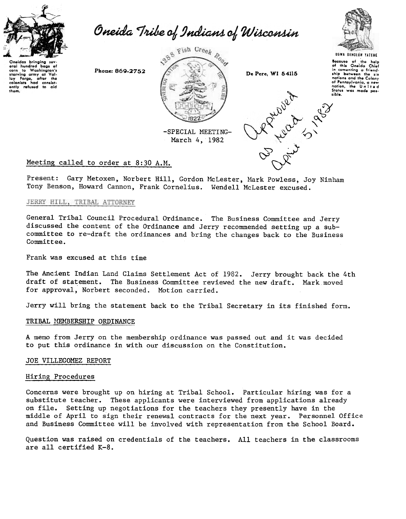

com to washing any at Val-<br>starving army at Val-<br>ley Forge, after the<br>colonists had consist-<br>only refused to aid

baas of Washington's

eral hundred

corn  $\ddot{\phantom{0}}$  Oneida Tribe of Indians of Wisconsin



March 4, 1982



Because of the help<br>of this Oneida Chief of this One1da Chief<br>in comonting a friend<br>ship between the six nations and the Colony of Pennsylvania, a new<br>nation, the United<br>Status was made poslibJe.

**929** 

"\

# Meeting called to order at 8:30 A.M.  $\bigotimes^{\infty}$

Present: Gary Metoxen, Norbert Hill, Gordon McLester, Mark Powless, Joy Ninham Tony Benson, Howard Cannon, Frank Cornelius. Wendell Mclester excused.

## JERRY HILL, TRIBAL ATTORNEY

General Tribal Council Procedural Ordinance. The Business Committee and Jerry discussed the content of the Ordinance and Jerry recommended setting up a subcommittee to re-draft the ordinances and bring the changes back to the Business Committee.

Frank was excused at this time

The Ancient Indian Land Claims Settlement Act of 1982. Jerry brought back the 4th draft of statement. The Business Committee reviewed the new draft. Mark moved for approval, Norbert seconded. Motion carried.

Jerry will bring the statement back to the Tribal Secretary in its finished form.

## TRIBAL MEMBERSHIP ORDINANCE

A memo from Jerry on the membership ordinance was passed out and it was decided to put this ordinance in with our discussion on the Constitution.

## JOE VILLEGOMEZ REPORT

### Hiring Procedures

Concerns were brought up on hiring at Tribal School. Particular hiring was for a substitute teacher. These applicants were interviewed from applications already on file. Setting up negotiations for the teachers they presently have in the middle of April to sign their renewal contracts for the next year. Personnel Office and Business Committee will be involved with representation from the School Board.

Question was raised on credentials of the teachers. All teachers in the classrooms are all certified K-8.